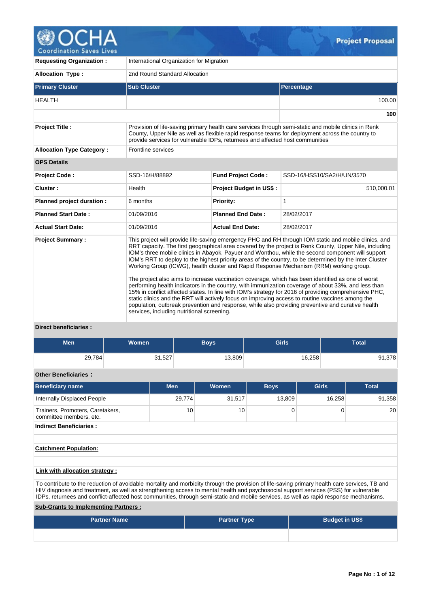

| <b>Requesting Organization:</b>                                     | International Organization for Migration                                                                                                                                                                                                                                                                                                                                                                                                                                                                                                                                                                                                                                                                                                                                                                                                                                                                                                                                                                                                                                                              |                           |                            |  |  |  |  |
|---------------------------------------------------------------------|-------------------------------------------------------------------------------------------------------------------------------------------------------------------------------------------------------------------------------------------------------------------------------------------------------------------------------------------------------------------------------------------------------------------------------------------------------------------------------------------------------------------------------------------------------------------------------------------------------------------------------------------------------------------------------------------------------------------------------------------------------------------------------------------------------------------------------------------------------------------------------------------------------------------------------------------------------------------------------------------------------------------------------------------------------------------------------------------------------|---------------------------|----------------------------|--|--|--|--|
| <b>Allocation Type:</b>                                             | 2nd Round Standard Allocation                                                                                                                                                                                                                                                                                                                                                                                                                                                                                                                                                                                                                                                                                                                                                                                                                                                                                                                                                                                                                                                                         |                           |                            |  |  |  |  |
| <b>Primary Cluster</b>                                              | <b>Sub Cluster</b>                                                                                                                                                                                                                                                                                                                                                                                                                                                                                                                                                                                                                                                                                                                                                                                                                                                                                                                                                                                                                                                                                    |                           | Percentage                 |  |  |  |  |
| <b>HEALTH</b>                                                       |                                                                                                                                                                                                                                                                                                                                                                                                                                                                                                                                                                                                                                                                                                                                                                                                                                                                                                                                                                                                                                                                                                       |                           | 100.00                     |  |  |  |  |
|                                                                     |                                                                                                                                                                                                                                                                                                                                                                                                                                                                                                                                                                                                                                                                                                                                                                                                                                                                                                                                                                                                                                                                                                       |                           | 100                        |  |  |  |  |
| <b>Project Title:</b>                                               | Provision of life-saving primary health care services through semi-static and mobile clinics in Renk<br>County, Upper Nile as well as flexible rapid response teams for deployment across the country to<br>provide services for vulnerable IDPs, returnees and affected host communities                                                                                                                                                                                                                                                                                                                                                                                                                                                                                                                                                                                                                                                                                                                                                                                                             |                           |                            |  |  |  |  |
| <b>Allocation Type Category:</b>                                    | Frontline services                                                                                                                                                                                                                                                                                                                                                                                                                                                                                                                                                                                                                                                                                                                                                                                                                                                                                                                                                                                                                                                                                    |                           |                            |  |  |  |  |
| <b>OPS Details</b>                                                  |                                                                                                                                                                                                                                                                                                                                                                                                                                                                                                                                                                                                                                                                                                                                                                                                                                                                                                                                                                                                                                                                                                       |                           |                            |  |  |  |  |
| <b>Project Code:</b>                                                | SSD-16/H/88892                                                                                                                                                                                                                                                                                                                                                                                                                                                                                                                                                                                                                                                                                                                                                                                                                                                                                                                                                                                                                                                                                        | <b>Fund Project Code:</b> | SSD-16/HSS10/SA2/H/UN/3570 |  |  |  |  |
| Cluster:                                                            | Health                                                                                                                                                                                                                                                                                                                                                                                                                                                                                                                                                                                                                                                                                                                                                                                                                                                                                                                                                                                                                                                                                                | Project Budget in US\$:   | 510,000.01                 |  |  |  |  |
| Planned project duration :                                          | 6 months                                                                                                                                                                                                                                                                                                                                                                                                                                                                                                                                                                                                                                                                                                                                                                                                                                                                                                                                                                                                                                                                                              | <b>Priority:</b>          | 1                          |  |  |  |  |
| <b>Planned Start Date:</b>                                          | 01/09/2016                                                                                                                                                                                                                                                                                                                                                                                                                                                                                                                                                                                                                                                                                                                                                                                                                                                                                                                                                                                                                                                                                            | <b>Planned End Date:</b>  | 28/02/2017                 |  |  |  |  |
| <b>Actual Start Date:</b>                                           | 01/09/2016                                                                                                                                                                                                                                                                                                                                                                                                                                                                                                                                                                                                                                                                                                                                                                                                                                                                                                                                                                                                                                                                                            | <b>Actual End Date:</b>   | 28/02/2017                 |  |  |  |  |
| <b>Project Summary:</b><br>National and the contract of the formula | This project will provide life-saving emergency PHC and RH through IOM static and mobile clinics, and<br>RRT capacity. The first geographical area covered by the project is Renk County, Upper Nile, including<br>IOM's three mobile clinics in Abayok, Payuer and Wonthou, while the second component will support<br>IOM's RRT to deploy to the highest priority areas of the country, to be determined by the Inter Cluster<br>Working Group (ICWG), health cluster and Rapid Response Mechanism (RRM) working group.<br>The project also aims to increase vaccination coverage, which has been identified as one of worst<br>performing health indicators in the country, with immunization coverage of about 33%, and less than<br>15% in conflict affected states. In line with IOM's strategy for 2016 of providing comprehensive PHC,<br>static clinics and the RRT will actively focus on improving access to routine vaccines among the<br>population, outbreak prevention and response, while also providing preventive and curative health<br>services, including nutritional screening. |                           |                            |  |  |  |  |

# **Direct beneficiaries :**

| Men    | <b>Women</b> | <b>Boys</b> | <b>Girls</b> | Total  |
|--------|--------------|-------------|--------------|--------|
| 29,784 | 31,527       | 13,809      | 16,258       | 91,378 |

# **Other Beneficiaries :**

| Beneficiary name                                            | <b>Men</b> | <b>Women</b> | <b>Boys</b> | <b>Girls</b> | <b>Total</b> |
|-------------------------------------------------------------|------------|--------------|-------------|--------------|--------------|
| Internally Displaced People                                 | 29,774     | 31,517       | 13,809      | 16,258       | 91,358       |
| Trainers, Promoters, Caretakers,<br>committee members, etc. | 10         | 10           | $\Omega$    |              | 20           |
| <b>Indirect Beneficiaries:</b>                              |            |              |             |              |              |
|                                                             |            |              |             |              |              |
| <b>Catchment Population:</b>                                |            |              |             |              |              |
|                                                             |            |              |             |              |              |
| Link with allocation strategy:                              |            |              |             |              |              |

To contribute to the reduction of avoidable mortality and morbidity through the provision of life-saving primary health care services, TB and HIV diagnosis and treatment, as well as strengthening access to mental health and psychosocial support services (PSS) for vulnerable IDPs, returnees and conflict-affected host communities, through semi-static and mobile services, as well as rapid response mechanisms.

**Sub-Grants to Implementing Partners :**

| <b>Partner Name</b> | <b>Partner Type</b> | <b>Budget in US\$</b> |  |  |  |  |  |
|---------------------|---------------------|-----------------------|--|--|--|--|--|
|                     |                     |                       |  |  |  |  |  |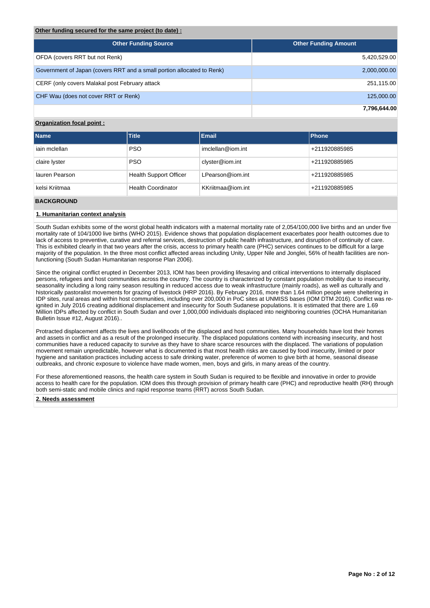### **Other funding secured for the same project (to date) :**

| <b>Other Funding Source</b>                                            | <b>Other Funding Amount</b> |
|------------------------------------------------------------------------|-----------------------------|
| OFDA (covers RRT but not Renk)                                         | 5,420,529.00                |
| Government of Japan (covers RRT and a small portion allocated to Renk) | 2,000,000.00                |
| CERF (only covers Malakal post February attack                         | 251,115.00                  |
| CHF Wau (does not cover RRT or Renk)                                   | 125,000.00                  |
|                                                                        | 7,796,644.00                |

# **Organization focal point :**

| <b>Name</b>    | <b>Title</b>                  | <b>Email</b>      | <b>Phone</b>  |
|----------------|-------------------------------|-------------------|---------------|
| iain mclellan  | <b>PSO</b>                    | imclellan@iom.int | +211920885985 |
| claire lyster  | <b>PSO</b>                    | clyster@iom.int   | +211920885985 |
| lauren Pearson | <b>Health Support Officer</b> | LPearson@iom.int  | +211920885985 |
| kelsi Kriitmaa | <b>Health Coordinator</b>     | KKriitmaa@iom.int | +211920885985 |

# **BACKGROUND**

### **1. Humanitarian context analysis**

South Sudan exhibits some of the worst global health indicators with a maternal mortality rate of 2,054/100,000 live births and an under five mortality rate of 104/1000 live births (WHO 2015). Evidence shows that population displacement exacerbates poor health outcomes due to lack of access to preventive, curative and referral services, destruction of public health infrastructure, and disruption of continuity of care. This is exhibited clearly in that two years after the crisis, access to primary health care (PHC) services continues to be difficult for a large majority of the population. In the three most conflict affected areas including Unity, Upper Nile and Jonglei, 56% of health facilities are nonfunctioning (South Sudan Humanitarian response Plan 2006).

Since the original conflict erupted in December 2013, IOM has been providing lifesaving and critical interventions to internally displaced persons, refugees and host communities across the country. The country is characterized by constant population mobility due to insecurity, seasonality including a long rainy season resulting in reduced access due to weak infrastructure (mainly roads), as well as culturally and historically pastoralist movements for grazing of livestock (HRP 2016). By February 2016, more than 1.64 million people were sheltering in IDP sites, rural areas and within host communities, including over 200,000 in PoC sites at UNMISS bases (IOM DTM 2016). Conflict was reignited in July 2016 creating additional displacement and insecurity for South Sudanese populations. It is estimated that there are 1.69 Million IDPs affected by conflict in South Sudan and over 1,000,000 individuals displaced into neighboring countries (OCHA Humanitarian Bulletin Issue #12, August 2016)..

Protracted displacement affects the lives and livelihoods of the displaced and host communities. Many households have lost their homes and assets in conflict and as a result of the prolonged insecurity. The displaced populations contend with increasing insecurity, and host communities have a reduced capacity to survive as they have to share scarce resources with the displaced. The variations of population movement remain unpredictable, however what is documented is that most health risks are caused by food insecurity, limited or poor hygiene and sanitation practices including access to safe drinking water, preference of women to give birth at home, seasonal disease outbreaks, and chronic exposure to violence have made women, men, boys and girls, in many areas of the country.

For these aforementioned reasons, the health care system in South Sudan is required to be flexible and innovative in order to provide access to health care for the population. IOM does this through provision of primary health care (PHC) and reproductive health (RH) through both semi-static and mobile clinics and rapid response teams (RRT) across South Sudan.

### **2. Needs assessment**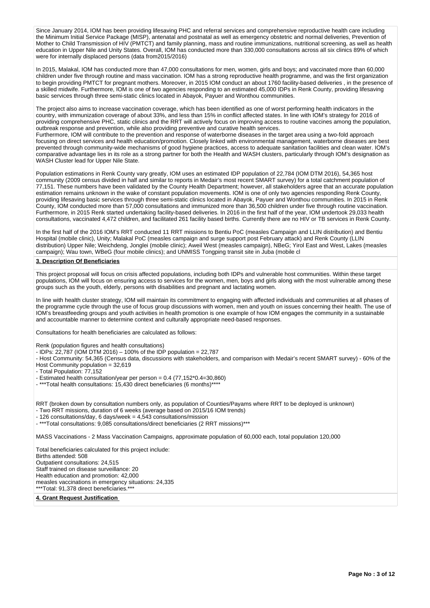Since January 2014, IOM has been providing lifesaving PHC and referral services and comprehensive reproductive health care including the Minimum Initial Service Package (MISP), antenatal and postnatal as well as emergency obstetric and normal deliveries, Prevention of Mother to Child Transmission of HIV (PMTCT) and family planning, mass and routine immunizations, nutritional screening, as well as health education in Upper Nile and Unity States. Overall, IOM has conducted more than 330,000 consultations across all six clinics 89% of which were for internally displaced persons (data from2015/2016)

In 2015, Malakal, IOM has conducted more than 47,000 consultations for men, women, girls and boys; and vaccinated more than 60,000 children under five through routine and mass vaccination. IOM has a strong reproductive health programme, and was the first organization to begin providing PMTCT for pregnant mothers. Moreover, in 2015 IOM conduct an about 1760 facility-based deliveries , in the presence of a skilled midwife. Furthermore, IOM is one of two agencies responding to an estimated 45,000 IDPs in Renk County, providing lifesaving basic services through three semi-static clinics located in Abayok, Payuer and Wonthou communities.

The project also aims to increase vaccination coverage, which has been identified as one of worst performing health indicators in the country, with immunization coverage of about 33%, and less than 15% in conflict affected states. In line with IOM's strategy for 2016 of providing comprehensive PHC, static clinics and the RRT will actively focus on improving access to routine vaccines among the population, outbreak response and prevention, while also providing preventive and curative health services.

Furthermore, IOM will contribute to the prevention and response of waterborne diseases in the target area using a two-fold approach focusing on direct services and health education/promotion. Closely linked with environmental management, waterborne diseases are best prevented through community-wide mechanisms of good hygiene practices, access to adequate sanitation facilities and clean water. IOM's comparative advantage lies in its role as a strong partner for both the Health and WASH clusters, particularly through IOM's designation as WASH Cluster lead for Upper Nile State.

Population estimations in Renk County vary greatly, IOM uses an estimated IDP population of 22,784 (IOM DTM 2016), 54,365 host community (2009 census divided in half and similar to reports in Medair's most recent SMART survey) for a total catchment population of 77,151. These numbers have been validated by the County Health Department; however, all stakeholders agree that an accurate population estimation remains unknown in the wake of constant population movements. IOM is one of only two agencies responding Renk County, providing lifesaving basic services through three semi-static clinics located in Abayok, Payuer and Wonthou communities. In 2015 in Renk County, IOM conducted more than 57,000 consultations and immunized more than 36,500 children under five through routine vaccination. Furthermore, in 2015 Renk started undertaking facility-based deliveries. In 2016 in the first half of the year, IOM undertook 29,033 health consultations, vaccinated 4,472 children, and facilitated 261 facility based births. Currently there are no HIV or TB services in Renk County.

In the first half of the 2016 IOM's RRT conducted 11 RRT missions to Bentiu PoC (measles Campaign and LLIN distribution) and Bentiu Hospital (mobile clinic), Unity; Malakal PoC (measles campaign and surge support post February attack) and Renk County (LLIN distribution) Upper Nile; Weichdeng, Jonglei (mobile clinic); Aweil West (measles campaign), NBeG; Yirol East and West, Lakes (measles campaign); Wau town, WBeG (four mobile clinics); and UNMISS Tongping transit site in Juba (mobile cl

#### **3. Description Of Beneficiaries**

This project proposal will focus on crisis affected populations, including both IDPs and vulnerable host communities. Within these target populations, IOM will focus on ensuring access to services for the women, men, boys and girls along with the most vulnerable among these groups such as the youth, elderly, persons with disabilities and pregnant and lactating women.

In line with health cluster strategy, IOM will maintain its commitment to engaging with affected individuals and communities at all phases of the programme cycle through the use of focus group discussions with women, men and youth on issues concerning their health. The use of IOM's breastfeeding groups and youth activities in health promotion is one example of how IOM engages the community in a sustainable and accountable manner to determine context and culturally appropriate need-based responses.

Consultations for health beneficiaries are calculated as follows:

Renk (population figures and health consultations)

- IDPs: 22,787 (IOM DTM 2016) – 100% of the IDP population = 22,787

- Host Community: 54,365 (Census data, discussions with stakeholders, and comparison with Medair's recent SMART survey) - 60% of the Host Community population = 32,619

- Total Population: 77,152

- Estimated health consultation/year per person = 0.4 (77,152\*0.4=30,860)

- \*\*\*Total health consultations: 15,430 direct beneficiaries (6 months)\*\*\*\*

RRT (broken down by consultation numbers only, as population of Counties/Payams where RRT to be deployed is unknown)

- Two RRT missions, duration of 6 weeks (average based on 2015/16 IOM trends)

- 126 consultations/day, 6 days/week = 4,543 consultations/mission

- \*\*\*Total consultations: 9,085 consultations/direct beneficiaries (2 RRT missions)\*\*\*

MASS Vaccinations - 2 Mass Vaccination Campaigns, approximate population of 60,000 each, total population 120,000

Total beneficiaries calculated for this project include: Births attended: 508 Outpatient consultations: 24,515 Staff trained on disease surveillance: 20 Health education and promotion: 42,000 measles vaccinations in emergency situations: 24,335 \*\*\*Total: 91,378 direct beneficiaries.\*\*\*

**4. Grant Request Justification**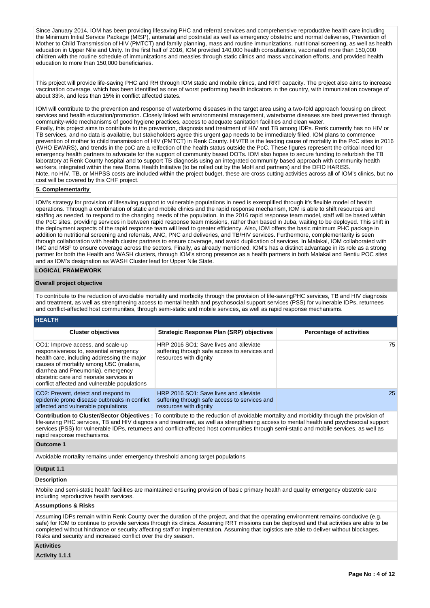Since January 2014, IOM has been providing lifesaving PHC and referral services and comprehensive reproductive health care including the Minimum Initial Service Package (MISP), antenatal and postnatal as well as emergency obstetric and normal deliveries, Prevention of Mother to Child Transmission of HIV (PMTCT) and family planning, mass and routine immunizations, nutritional screening, as well as health education in Upper Nile and Unity. In the first half of 2016, IOM provided 140,000 health consultations, vaccinated more than 150,000 children with the routine schedule of immunizations and measles through static clinics and mass vaccination efforts, and provided health education to more than 150,000 beneficiaries.

This project will provide life-saving PHC and RH through IOM static and mobile clinics, and RRT capacity. The project also aims to increase vaccination coverage, which has been identified as one of worst performing health indicators in the country, with immunization coverage of about 33%, and less than 15% in conflict affected states.

IOM will contribute to the prevention and response of waterborne diseases in the target area using a two-fold approach focusing on direct services and health education/promotion. Closely linked with environmental management, waterborne diseases are best prevented through community-wide mechanisms of good hygiene practices, access to adequate sanitation facilities and clean water. Finally, this project aims to contribute to the prevention, diagnosis and treatment of HIV and TB among IDPs. Renk currently has no HIV or TB services, and no data is available, but stakeholders agree this urgent gap needs to be immediately filled. IOM plans to commence prevention of mother to child transmission of HIV (PMTCT) in Renk County. HIV/TB is the leading cause of mortality in the PoC sites in 2016 (WHO EWARS), and trends in the poC are a relfection of the health status outside the PoC. These figures represent the critical need for emergency health partners to advocate for the support of community based DOTs. IOM also hopes to secure funding to refurbish the TB laboratory at Renk County hospital and to support TB diagnosis using an integrated community based approach with community health workers, integrated within the new Boma Health Initiative (to be rolled out by the MoH and partners) and the DFID HARISS. Note, no HIV, TB, or MHPSS costs are included within the project budget, these are cross cutting activities across all of IOM's clinics, but no cost will be covered by this CHF project.

#### **5. Complementarity**

IOM's strategy for provision of lifesaving support to vulnerable populations in need is exemplified through it's flexible model of health operations. Through a combination of static and mobile clinics and the rapid response mechanism, IOM is able to shift resources and staffing as needed, to respond to the changing needs of the population. In the 2016 rapid response team model, staff will be based within the PoC sites, providing services in between rapid response team missions, rather than based in Juba, waiting to be deployed. This shift in the deployment aspects of the rapid response team will lead to greater efficiency. Also, IOM offers the basic minimum PHC package in addition to nutritional screening and referrals, ANC, PNC and deliveries, and TB/HIV services. Furthermore, complementarity is seen through collaboration with health cluster partners to ensure coverage, and avoid duplication of services. In Malakal, IOM collaborated with IMC and MSF to ensure coverage across the sectors. Finally, as already mentioned, IOM's has a distinct advantage in its role as a strong partner for both the Health and WASH clusters, through IOM's strong presence as a health partners in both Malakal and Bentiu POC sites and as IOM's designation as WASH Cluster lead for Upper Nile State.

#### **LOGICAL FRAMEWORK**

#### **Overall project objective**

To contribute to the reduction of avoidable mortality and morbidity through the provision of life-savingPHC services, TB and HIV diagnosis and treatment, as well as strengthening access to mental health and psychosocial support services (PSS) for vulnerable IDPs, returnees and conflict-affected host communities, through semi-static and mobile services, as well as rapid response mechanisms.

| <b>HEALTH</b>                                                                                                                                                                                                                                                                                         |                                                                                                                   |                                 |
|-------------------------------------------------------------------------------------------------------------------------------------------------------------------------------------------------------------------------------------------------------------------------------------------------------|-------------------------------------------------------------------------------------------------------------------|---------------------------------|
| <b>Cluster objectives</b>                                                                                                                                                                                                                                                                             | <b>Strategic Response Plan (SRP) objectives</b>                                                                   | <b>Percentage of activities</b> |
| CO1: Improve access, and scale-up<br>responsiveness to, essential emergency<br>health care, including addressing the major<br>causes of mortality among U5C (malaria,<br>diarrhea and Pneumonia), emergency<br>obstetric care and neonate services in<br>conflict affected and vulnerable populations | HRP 2016 SO1: Save lives and alleviate<br>suffering through safe access to services and<br>resources with dignity | 75                              |
| CO <sub>2</sub> : Prevent, detect and respond to<br>epidemic prone disease outbreaks in conflict<br>affected and vulnerable populations                                                                                                                                                               | HRP 2016 SO1: Save lives and alleviate<br>suffering through safe access to services and<br>resources with dignity | 25                              |

**Contribution to Cluster/Sector Objectives :** To contribute to the reduction of avoidable mortality and morbidity through the provision of life-saving PHC services, TB and HIV diagnosis and treatment, as well as strengthening access to mental health and psychosocial support services (PSS) for vulnerable IDPs, returnees and conflict-affected host communities through semi-static and mobile services, as well as rapid response mechanisms.

### **Outcome 1**

Avoidable mortality remains under emergency threshold among target populations

### **Output 1.1**

#### **Description**

Mobile and semi-static health facilities are maintained ensuring provision of basic primary health and quality emergency obstetric care including reproductive health services.

### **Assumptions & Risks**

Assuming IDPs remain within Renk County over the duration of the project, and that the operating environment remains conducive (e.g. safe) for IOM to continue to provide services through its clinics. Assuming RRT missions can be deployed and that activities are able to be completed without hindrance or security affecting staff or implementation. Assuming that logistics are able to deliver without blockages. Risks and security and increased conflict over the dry season.

## **Activities**

**Activity 1.1.1**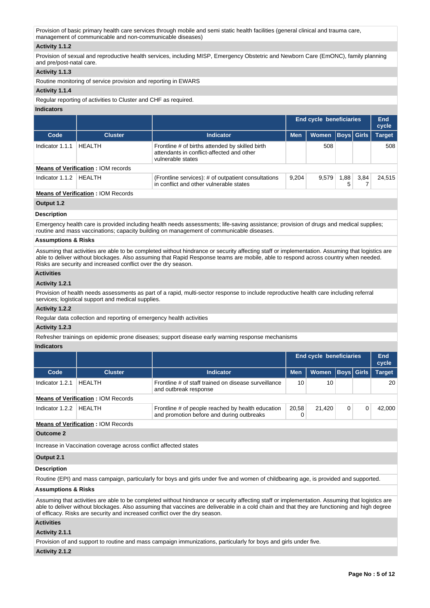Provision of basic primary health care services through mobile and semi static health facilities (general clinical and trauma care, management of communicable and non-communicable diseases)

### **Activity 1.1.2**

Provision of sexual and reproductive health services, including MISP, Emergency Obstetric and Newborn Care (EmONC), family planning and pre/post-natal care.

### **Activity 1.1.3**

Routine monitoring of service provision and reporting in EWARS

## **Activity 1.1.4**

Regular reporting of activities to Cluster and CHF as required.

### **Indicators**

|                   |                                           |                                                                                                                   | <b>End cycle beneficiaries</b> |       |      | End<br>cycle      |               |
|-------------------|-------------------------------------------|-------------------------------------------------------------------------------------------------------------------|--------------------------------|-------|------|-------------------|---------------|
| Code              | <b>Cluster</b>                            | <b>Indicator</b>                                                                                                  | <b>Men</b>                     | Women |      | <b>Boys Girls</b> | <b>Target</b> |
| Indicator 1.1.1   | HEALTH                                    | Frontline # of births attended by skilled birth<br>attendants in conflict-affected and other<br>vulnerable states |                                | 508   |      |                   | 508           |
|                   | <b>Means of Verification: IOM records</b> |                                                                                                                   |                                |       |      |                   |               |
| Indicator $1.1.2$ | HFAI TH                                   | (Frontline services): # of outpatient consultations<br>in conflict and other vulnerable states                    | 9.204                          | 9.579 | 1,88 | 3.84              | 24.515        |
|                   |                                           |                                                                                                                   |                                |       |      |                   |               |

### **Means of Verification :** IOM Records

**Output 1.2**

#### **Description**

Emergency health care is provided including health needs assessments; life-saving assistance; provision of drugs and medical supplies; routine and mass vaccinations; capacity building on management of communicable diseases.

# **Assumptions & Risks**

Assuming that activities are able to be completed without hindrance or security affecting staff or implementation. Assuming that logistics are able to deliver without blockages. Also assuming that Rapid Response teams are mobile, able to respond across country when needed. Risks are security and increased conflict over the dry season.

### **Activities**

# **Activity 1.2.1**

Provision of health needs assessments as part of a rapid, multi-sector response to include reproductive health care including referral services; logistical support and medical supplies.

### **Activity 1.2.2**

Regular data collection and reporting of emergency health activities

## **Activity 1.2.3**

Refresher trainings on epidemic prone diseases; support disease early warning response mechanisms

# **Indicators**

|                                           |                                           |                                                                                                |            | <b>End cycle beneficiaries</b> |  |                   | End<br>cycle  |
|-------------------------------------------|-------------------------------------------|------------------------------------------------------------------------------------------------|------------|--------------------------------|--|-------------------|---------------|
| Code                                      | <b>Cluster</b>                            | <b>Indicator</b>                                                                               | <b>Men</b> | <b>Women</b>                   |  | <b>Boys</b> Girls | <b>Target</b> |
| Indicator 1.2.1                           | <b>HFAITH</b>                             | Frontline # of staff trained on disease surveillance<br>and outbreak response                  | 10         | 10                             |  |                   | 20            |
|                                           | <b>Means of Verification: IOM Records</b> |                                                                                                |            |                                |  |                   |               |
| Indicator 1.2.2                           | HFAI TH                                   | Frontline # of people reached by health education<br>and promotion before and during outbreaks | 20.58      | 21.420                         |  |                   | 42.000        |
| <b>Means of Verification: IOM Records</b> |                                           |                                                                                                |            |                                |  |                   |               |
|                                           |                                           |                                                                                                |            |                                |  |                   |               |

**Outcome 2**

Increase in Vaccination coverage across conflict affected states

### **Output 2.1**

### **Description**

Routine (EPI) and mass campaign, particularly for boys and girls under five and women of childbearing age, is provided and supported.

### **Assumptions & Risks**

Assuming that activities are able to be completed without hindrance or security affecting staff or implementation. Assuming that logistics are able to deliver without blockages. Also assuming that vaccines are deliverable in a cold chain and that they are functioning and high degree of efficacy. Risks are security and increased conflict over the dry season.

# **Activities**

**Activity 2.1.1** 

Provision of and support to routine and mass campaign immunizations, particularly for boys and girls under five.

# **Activity 2.1.2**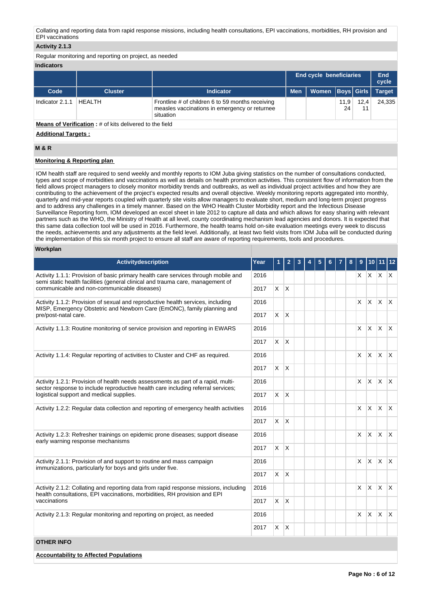Collating and reporting data from rapid response missions, including health consultations, EPI vaccinations, morbidities, RH provision and EPI vaccinations

### **Activity 2.1.3**

Regular monitoring and reporting on project, as needed

### **Indicators**

|                                                                |                |                                                                                                                |            | <b>End cycle beneficiaries</b> |            |            | End<br>cycle  |
|----------------------------------------------------------------|----------------|----------------------------------------------------------------------------------------------------------------|------------|--------------------------------|------------|------------|---------------|
| Code                                                           | <b>Cluster</b> | <b>Indicator</b>                                                                                               | <b>Men</b> | Women   Boys   Girls           |            |            | <b>Target</b> |
| Indicator 2.1.1                                                | HFAI TH        | Frontline # of children 6 to 59 months receiving<br>measles vaccinations in emergency or returnee<br>situation |            |                                | 11,9<br>24 | 12.4<br>11 | 24.335        |
| <b>Means of Verification:</b> # of kits delivered to the field |                |                                                                                                                |            |                                |            |            |               |

**Additional Targets :**

### **M & R**

# **Monitoring & Reporting plan**

IOM health staff are required to send weekly and monthly reports to IOM Juba giving statistics on the number of consultations conducted, types and scope of morbidities and vaccinations as well as details on health promotion activities. This consistent flow of information from the field allows project managers to closely monitor morbidity trends and outbreaks, as well as individual project activities and how they are contributing to the achievement of the project's expected results and overall objective. Weekly monitoring reports aggregated into monthly, quarterly and mid-year reports coupled with quarterly site visits allow managers to evaluate short, medium and long-term project progress and to address any challenges in a timely manner. Based on the WHO Health Cluster Morbidity report and the Infectious Disease Surveillance Reporting form, IOM developed an excel sheet in late 2012 to capture all data and which allows for easy sharing with relevant partners such as the WHO, the Ministry of Health at all level, county coordinating mechanism lead agencies and donors. It is expected that this same data collection tool will be used in 2016. Furthermore, the health teams hold on-site evaluation meetings every week to discuss the needs, achievements and any adjustments at the field level. Additionally, at least two field visits from IOM Juba will be conducted during the implementation of this six month project to ensure all staff are aware of reporting requirements, tools and procedures.

### **Workplan**

| <b>Activitydescription</b>                                                                                                                                                                                          | Year | 1            | 2              |  |  | 8 | 9        | 10           |                          | 12           |
|---------------------------------------------------------------------------------------------------------------------------------------------------------------------------------------------------------------------|------|--------------|----------------|--|--|---|----------|--------------|--------------------------|--------------|
| Activity 1.1.1: Provision of basic primary health care services through mobile and<br>semi static health facilities (general clinical and trauma care, management of<br>communicable and non-communicable diseases) |      |              |                |  |  |   |          |              | $x \mid x \mid x \mid x$ |              |
|                                                                                                                                                                                                                     |      | X.           | ΙX             |  |  |   |          |              |                          |              |
| Activity 1.1.2: Provision of sexual and reproductive health services, including<br>MISP, Emergency Obstetric and Newborn Care (EmONC), family planning and                                                          | 2016 |              |                |  |  |   | $\times$ | <b>X</b>     | ΙX.                      | $\mathsf{X}$ |
| pre/post-natal care.                                                                                                                                                                                                | 2017 | X.           | ΙX.            |  |  |   |          |              |                          |              |
| Activity 1.1.3: Routine monitoring of service provision and reporting in EWARS                                                                                                                                      | 2016 |              |                |  |  |   | X.       | $\times$     | $\mathsf{X}$             | $\mathsf{X}$ |
|                                                                                                                                                                                                                     | 2017 | $\mathsf{X}$ | ΙX.            |  |  |   |          |              |                          |              |
| Activity 1.1.4: Regular reporting of activities to Cluster and CHF as required.                                                                                                                                     | 2016 |              |                |  |  |   | X        | $\mathsf{X}$ | <b>X</b>                 | $\mathsf{X}$ |
|                                                                                                                                                                                                                     | 2017 | <b>X</b>     | ΙX.            |  |  |   |          |              |                          |              |
| Activity 1.2.1: Provision of health needs assessments as part of a rapid, multi-<br>sector response to include reproductive health care including referral services;                                                | 2016 |              |                |  |  |   | X.       | <b>X</b>     | ΙX.                      | $\mathsf{X}$ |
| logistical support and medical supplies.                                                                                                                                                                            | 2017 | X.           | ΙX             |  |  |   |          |              |                          |              |
| Activity 1.2.2: Regular data collection and reporting of emergency health activities                                                                                                                                |      |              |                |  |  |   | $\times$ | X.           | ΙX.                      | $\mathsf{X}$ |
|                                                                                                                                                                                                                     | 2017 | $\mathsf{X}$ | ΙX.            |  |  |   |          |              |                          |              |
| Activity 1.2.3: Refresher trainings on epidemic prone diseases; support disease<br>early warning response mechanisms                                                                                                | 2016 |              |                |  |  |   | $\times$ | <b>X</b>     | X.                       | $\mathsf{X}$ |
|                                                                                                                                                                                                                     | 2017 | <b>X</b>     | Ιx.            |  |  |   |          |              |                          |              |
| Activity 2.1.1: Provision of and support to routine and mass campaign<br>immunizations, particularly for boys and girls under five.                                                                                 | 2016 |              |                |  |  |   | X.       | X            | <b>X</b>                 | $\mathsf{X}$ |
|                                                                                                                                                                                                                     | 2017 | X.           | <sup>X</sup>   |  |  |   |          |              |                          |              |
| Activity 2.1.2: Collating and reporting data from rapid response missions, including<br>health consultations, EPI vaccinations, morbidities, RH provision and EPI                                                   | 2016 |              |                |  |  |   | $\times$ | <b>X</b>     | ΙX.                      | $\mathsf{X}$ |
| vaccinations                                                                                                                                                                                                        | 2017 | X.           | $\overline{X}$ |  |  |   |          |              |                          |              |
| Activity 2.1.3: Regular monitoring and reporting on project, as needed                                                                                                                                              | 2016 |              |                |  |  |   | X.       | <b>X</b>     | <b>X</b>                 | $\mathsf{X}$ |
|                                                                                                                                                                                                                     |      | $\mathsf{X}$ | ΙX.            |  |  |   |          |              |                          |              |
| <b>OTHER INFO</b>                                                                                                                                                                                                   |      |              |                |  |  |   |          |              |                          |              |

### **Accountability to Affected Populations**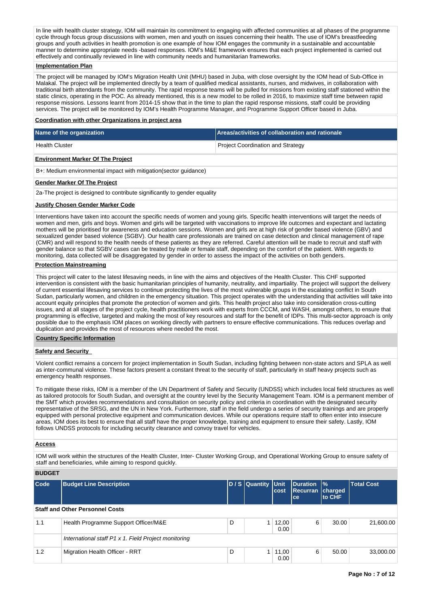In line with health cluster strategy, IOM will maintain its commitment to engaging with affected communities at all phases of the programme cycle through focus group discussions with women, men and youth on issues concerning their health. The use of IOM's breastfeeding groups and youth activities in health promotion is one example of how IOM engages the community in a sustainable and accountable manner to determine appropriate needs -based responses. IOM's M&E framework ensures that each project implemented is carried out effectively and continually reviewed in line with community needs and humanitarian frameworks.

# **Implementation Plan**

The project will be managed by IOM's Migration Health Unit (MHU) based in Juba, with close oversight by the IOM head of Sub-Office in Malakal. The project will be implemented directly by a team of qualified medical assistants, nurses, and midwives, in collaboration with traditional birth attendants from the community. The rapid response teams will be pulled for missions from existing staff stationed within the static clinics, operating in the POC. As already mentioned, this is a new model to be rolled in 2016, to maximize staff time between rapid response missions. Lessons learnt from 2014-15 show that in the time to plan the rapid response missions, staff could be providing services. The project will be monitored by IOM's Health Programme Manager, and Programme Support Officer based in Juba.

#### **Coordination with other Organizations in project area**

| Name of the organization                                          | Areas/activities of collaboration and rationale |  |  |  |  |
|-------------------------------------------------------------------|-------------------------------------------------|--|--|--|--|
| <b>Health Cluster</b>                                             | <b>Project Coordination and Strategy</b>        |  |  |  |  |
| <b>Environment Marker Of The Project</b>                          |                                                 |  |  |  |  |
| B+: Medium environmental impact with mitigation (sector quidance) |                                                 |  |  |  |  |
| Gender Marker Of The Project                                      |                                                 |  |  |  |  |

2a-The project is designed to contribute significantly to gender equality

#### **Justify Chosen Gender Marker Code**

Interventions have taken into account the specific needs of women and young girls. Specific health interventions will target the needs of women and men, girls and boys. Women and girls will be targeted with vaccinations to improve life outcomes and expectant and lactating mothers will be prioritised for awareness and education sessions. Women and girls are at high risk of gender based violence (GBV) and sexualized gender based violence (SGBV). Our health care professionals are trained on case detection and clinical management of rape (CMR) and will respond to the health needs of these patients as they are referred. Careful attention will be made to recruit and staff with gender balance so that SGBV cases can be treated by male or female staff, depending on the comfort of the patient. With regards to monitoring, data collected will be disaggregated by gender in order to assess the impact of the activities on both genders.

### **Protection Mainstreaming**

This project will cater to the latest lifesaving needs, in line with the aims and objectives of the Health Cluster. This CHF supported intervention is consistent with the basic humanitarian principles of humanity, neutrality, and impartiality. The project will support the delivery of current essential lifesaving services to continue protecting the lives of the most vulnerable groups in the escalating conflict in South Sudan, particularly women, and children in the emergency situation. This project operates with the understanding that activities will take into account equity principles that promote the protection of women and girls. This health project also take into consideration cross-cutting issues, and at all stages of the project cycle, health practitioners work with experts from CCCM, and WASH, amongst others, to ensure that programming is effective, targeted and making the most of key resources and staff for the benefit of IDPs. This multi-sector approach is only possible due to the emphasis IOM places on working directly with partners to ensure effective communications. This reduces overlap and duplication and provides the most of resources where needed the most.

#### **Country Specific Information**

# **Safety and Security**

Violent conflict remains a concern for project implementation in South Sudan, including fighting between non-state actors and SPLA as well as inter-communal violence. These factors present a constant threat to the security of staff, particularly in staff heavy projects such as emergency health responses.

To mitigate these risks, IOM is a member of the UN Department of Safety and Security (UNDSS) which includes local field structures as well as tailored protocols for South Sudan, and oversight at the country level by the Security Management Team. IOM is a permanent member of the SMT which provides recommendations and consultation on security policy and criteria in coordination with the designated security representative of the SRSG, and the UN in New York. Furthermore, staff in the field undergo a series of security trainings and are properly equipped with personal protective equipment and communication devices. While our operations require staff to often enter into insecure areas, IOM does its best to ensure that all staff have the proper knowledge, training and equipment to ensure their safety. Lastly, IOM follows UNDSS protocols for including security clearance and convoy travel for vehicles.

#### **Access**

IOM will work within the structures of the Health Cluster, Inter- Cluster Working Group, and Operational Working Group to ensure safety of staff and beneficiaries, while aiming to respond quickly.

## **BUDGET**

| Code                                   | <b>Budget Line Description</b>                       |   | D / S Quantity Unit | <b>cost</b>   | Duration<br>Recurran charged<br>ce | $\frac{9}{6}$<br>to CHF | <b>Total Cost</b> |  |  |
|----------------------------------------|------------------------------------------------------|---|---------------------|---------------|------------------------------------|-------------------------|-------------------|--|--|
| <b>Staff and Other Personnel Costs</b> |                                                      |   |                     |               |                                    |                         |                   |  |  |
| 1.1                                    | Health Programme Support Officer/M&E                 | D |                     | 12,00<br>0.00 | 6                                  | 30.00                   | 21,600.00         |  |  |
|                                        | International staff P1 x 1. Field Project monitoring |   |                     |               |                                    |                         |                   |  |  |
| 1.2                                    | Migration Health Officer - RRT                       | D |                     | 11,00<br>0.00 | 6                                  | 50.00                   | 33,000.00         |  |  |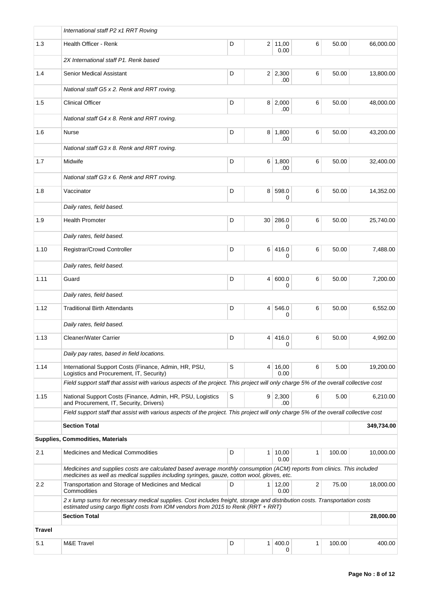|        | International staff P2 x1 RRT Roving                                                                                                                                                                                  |   |                |                        |   |        |            |  |  |  |  |
|--------|-----------------------------------------------------------------------------------------------------------------------------------------------------------------------------------------------------------------------|---|----------------|------------------------|---|--------|------------|--|--|--|--|
| 1.3    | Health Officer - Renk                                                                                                                                                                                                 | D |                | 2 11,00<br>0.00        | 6 | 50.00  | 66,000.00  |  |  |  |  |
|        | 2X International staff P1. Renk based                                                                                                                                                                                 |   |                |                        |   |        |            |  |  |  |  |
| 1.4    | <b>Senior Medical Assistant</b>                                                                                                                                                                                       | D |                | $2 \mid 2,300$<br>.00  | 6 | 50.00  | 13,800.00  |  |  |  |  |
|        | National staff G5 x 2. Renk and RRT roving.                                                                                                                                                                           |   |                |                        |   |        |            |  |  |  |  |
| 1.5    | <b>Clinical Officer</b>                                                                                                                                                                                               | D |                | $8 \mid 2,000$<br>.00  | 6 | 50.00  | 48,000.00  |  |  |  |  |
|        | National staff G4 x 8. Renk and RRT roving.                                                                                                                                                                           |   |                |                        |   |        |            |  |  |  |  |
| 1.6    | Nurse                                                                                                                                                                                                                 | D | 8              | 1,800<br>.00           | 6 | 50.00  | 43,200.00  |  |  |  |  |
|        | National staff G3 x 8. Renk and RRT roving.                                                                                                                                                                           |   |                |                        |   |        |            |  |  |  |  |
| 1.7    | Midwife                                                                                                                                                                                                               | D |                | 6 1,800<br>.00         | 6 | 50.00  | 32,400.00  |  |  |  |  |
|        | National staff G3 x 6. Renk and RRT roving.                                                                                                                                                                           |   |                |                        |   |        |            |  |  |  |  |
| 1.8    | Vaccinator                                                                                                                                                                                                            | D |                | 8 598.0<br>0           | 6 | 50.00  | 14,352.00  |  |  |  |  |
|        | Daily rates, field based.                                                                                                                                                                                             |   |                |                        |   |        |            |  |  |  |  |
| 1.9    | <b>Health Promoter</b>                                                                                                                                                                                                | D | 30             | 286.0<br>0             | 6 | 50.00  | 25,740.00  |  |  |  |  |
|        | Daily rates, field based.                                                                                                                                                                                             |   |                |                        |   |        |            |  |  |  |  |
| 1.10   | Registrar/Crowd Controller                                                                                                                                                                                            | D | 6 <sup>1</sup> | 416.0<br>0             | 6 | 50.00  | 7,488.00   |  |  |  |  |
|        | Daily rates, field based.                                                                                                                                                                                             |   |                |                        |   |        |            |  |  |  |  |
| 1.11   | Guard                                                                                                                                                                                                                 | D | 4 <sup>1</sup> | 600.0<br>0             | 6 | 50.00  | 7,200.00   |  |  |  |  |
|        | Daily rates, field based.                                                                                                                                                                                             |   |                |                        |   |        |            |  |  |  |  |
| 1.12   | <b>Traditional Birth Attendants</b>                                                                                                                                                                                   | D |                | 4 546.0<br>0           | 6 | 50.00  | 6,552.00   |  |  |  |  |
|        | Daily rates, field based.                                                                                                                                                                                             |   |                |                        |   |        |            |  |  |  |  |
| 1.13   | <b>Cleaner/Water Carrier</b>                                                                                                                                                                                          | D |                | 4 416.0<br>0           | 6 | 50.00  | 4,992.00   |  |  |  |  |
|        | Daily pay rates, based in field locations.                                                                                                                                                                            |   |                |                        |   |        |            |  |  |  |  |
| 1.14   | International Support Costs (Finance, Admin, HR, PSU,<br>Logistics and Procurement, IT, Security)                                                                                                                     | S | 4              | 16,00<br>0.00          | 6 | 5.00   | 19,200.00  |  |  |  |  |
|        | Field support staff that assist with various aspects of the project. This project will only charge 5% of the overall collective cost                                                                                  |   |                |                        |   |        |            |  |  |  |  |
| 1.15   | National Support Costs (Finance, Admin, HR, PSU, Logistics<br>and Procurement, IT, Security, Drivers)                                                                                                                 | S |                | $9 \mid 2,300$<br>.00  | 6 | 5.00   | 6,210.00   |  |  |  |  |
|        | Field support staff that assist with various aspects of the project. This project will only charge 5% of the overall collective cost                                                                                  |   |                |                        |   |        |            |  |  |  |  |
|        | <b>Section Total</b>                                                                                                                                                                                                  |   |                |                        |   |        | 349,734.00 |  |  |  |  |
|        | Supplies, Commodities, Materials                                                                                                                                                                                      |   |                |                        |   |        |            |  |  |  |  |
| 2.1    | <b>Medicines and Medical Commodities</b>                                                                                                                                                                              | D | 1 <sup>1</sup> | 10,00<br>0.00          | 1 | 100.00 | 10,000.00  |  |  |  |  |
|        | Medicines and supplies costs are calculated based average monthly consumption (ACM) reports from clinics. This included<br>medicines as well as medical supplies including syringes, gauze, cotton wool, gloves, etc. |   |                |                        |   |        |            |  |  |  |  |
| 2.2    | Transportation and Storage of Medicines and Medical<br>Commodities                                                                                                                                                    | D |                | $1 \mid 12,00$<br>0.00 | 2 | 75.00  | 18,000.00  |  |  |  |  |
|        | 2 x lump sums for necessary medical supplies. Cost includes freight, storage and distribution costs. Transportation costs<br>estimated using cargo flight costs from IOM vendors from 2015 to Renk (RRT $+$ RRT)      |   |                |                        |   |        |            |  |  |  |  |
|        | <b>Section Total</b>                                                                                                                                                                                                  |   |                |                        |   |        | 28,000.00  |  |  |  |  |
| Travel |                                                                                                                                                                                                                       |   |                |                        |   |        |            |  |  |  |  |
| 5.1    | <b>M&amp;E Travel</b>                                                                                                                                                                                                 | D | 1 <sup>1</sup> | 400.0<br>0             | 1 | 100.00 | 400.00     |  |  |  |  |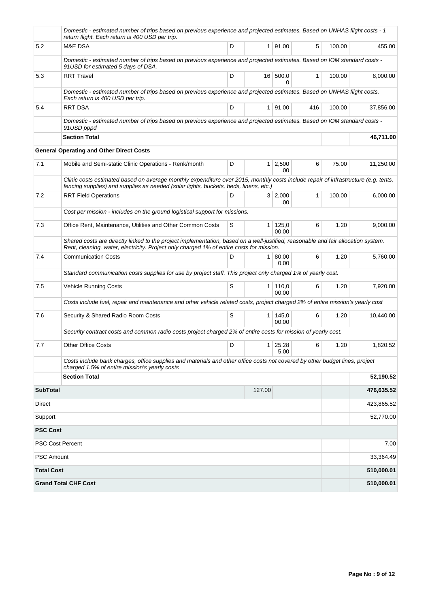|                         | Domestic - estimated number of trips based on previous experience and projected estimates. Based on UNHAS flight costs - 1<br>return flight. Each return is 400 USD per trip.                                                 |   |        |                         |              |        |            |  |  |  |  |  |
|-------------------------|-------------------------------------------------------------------------------------------------------------------------------------------------------------------------------------------------------------------------------|---|--------|-------------------------|--------------|--------|------------|--|--|--|--|--|
| 5.2                     | <b>M&amp;E DSA</b>                                                                                                                                                                                                            | D |        | 1   91.00               | 5            | 100.00 | 455.00     |  |  |  |  |  |
|                         | Domestic - estimated number of trips based on previous experience and projected estimates. Based on IOM standard costs -<br>91USD for estimated 5 days of DSA.                                                                |   |        |                         |              |        |            |  |  |  |  |  |
| 5.3                     | <b>RRT Travel</b>                                                                                                                                                                                                             | D |        | 16 500.0<br>0           | 1            | 100.00 | 8,000.00   |  |  |  |  |  |
|                         | Domestic - estimated number of trips based on previous experience and projected estimates. Based on UNHAS flight costs.<br>Each return is 400 USD per trip.                                                                   |   |        |                         |              |        |            |  |  |  |  |  |
| 5.4                     | <b>RRT DSA</b>                                                                                                                                                                                                                | D |        | 1   91.00               | 416          | 100.00 | 37,856.00  |  |  |  |  |  |
|                         | Domestic - estimated number of trips based on previous experience and projected estimates. Based on IOM standard costs -<br>91USD pppd                                                                                        |   |        |                         |              |        |            |  |  |  |  |  |
|                         | <b>Section Total</b>                                                                                                                                                                                                          |   |        |                         |              |        | 46,711.00  |  |  |  |  |  |
|                         | <b>General Operating and Other Direct Costs</b>                                                                                                                                                                               |   |        |                         |              |        |            |  |  |  |  |  |
| 7.1                     | Mobile and Semi-static Clinic Operations - Renk/month                                                                                                                                                                         | D |        | $1 \mid 2,500$<br>.00.  | 6            | 75.00  | 11,250.00  |  |  |  |  |  |
|                         | Clinic costs estimated based on average monthly expenditure over 2015, monthly costs include repair of infrastructure (e.g. tents,<br>fencing supplies) and supplies as needed (solar lights, buckets, beds, linens, etc.)    |   |        |                         |              |        |            |  |  |  |  |  |
| 7.2                     | <b>RRT Field Operations</b>                                                                                                                                                                                                   | D |        | 3 2,000<br>.00          | $\mathbf{1}$ | 100.00 | 6,000.00   |  |  |  |  |  |
|                         | Cost per mission - includes on the ground logistical support for missions.                                                                                                                                                    |   |        |                         |              |        |            |  |  |  |  |  |
| 7.3                     | Office Rent, Maintenance, Utilities and Other Common Costs                                                                                                                                                                    | S |        | $1 \mid 125,0$<br>00.00 | 6            | 1.20   | 9,000.00   |  |  |  |  |  |
|                         | Shared costs are directly linked to the project implementation, based on a well-justified, reasonable and fair allocation system.<br>Rent, cleaning, water, electricity. Project only charged 1% of entire costs for mission. |   |        |                         |              |        |            |  |  |  |  |  |
| 7.4                     | <b>Communication Costs</b>                                                                                                                                                                                                    | D |        | 1   80,00<br>0.00       | 6            | 1.20   | 5,760.00   |  |  |  |  |  |
|                         | Standard communication costs supplies for use by project staff. This project only charged 1% of yearly cost.                                                                                                                  |   |        |                         |              |        |            |  |  |  |  |  |
| 7.5                     | Vehicle Running Costs                                                                                                                                                                                                         | S |        | 1 110,0<br>00.00        | 6            | 1.20   | 7,920.00   |  |  |  |  |  |
|                         | Costs include fuel, repair and maintenance and other vehicle related costs, project charged 2% of entire mission's yearly cost                                                                                                |   |        |                         |              |        |            |  |  |  |  |  |
| 7.6                     | Security & Shared Radio Room Costs                                                                                                                                                                                            | S |        | $1 \mid 145.0$<br>00.00 | 6            | 1.20   | 10,440.00  |  |  |  |  |  |
|                         | Security contract costs and common radio costs project charged 2% of entire costs for mission of yearly cost.                                                                                                                 |   |        |                         |              |        |            |  |  |  |  |  |
| 7.7                     | <b>Other Office Costs</b>                                                                                                                                                                                                     | D |        | $1 \mid 25,28$<br>5.00  | 6            | 1.20   | 1,820.52   |  |  |  |  |  |
|                         | Costs include bank charges, office supplies and materials and other office costs not covered by other budget lines, project<br>charged 1.5% of entire mission's yearly costs                                                  |   |        |                         |              |        |            |  |  |  |  |  |
|                         | <b>Section Total</b>                                                                                                                                                                                                          |   |        |                         |              |        | 52,190.52  |  |  |  |  |  |
| <b>SubTotal</b>         |                                                                                                                                                                                                                               |   | 127.00 |                         |              |        | 476,635.52 |  |  |  |  |  |
| Direct                  |                                                                                                                                                                                                                               |   |        |                         |              |        | 423,865.52 |  |  |  |  |  |
| Support                 |                                                                                                                                                                                                                               |   |        |                         |              |        | 52,770.00  |  |  |  |  |  |
| <b>PSC Cost</b>         |                                                                                                                                                                                                                               |   |        |                         |              |        |            |  |  |  |  |  |
| <b>PSC Cost Percent</b> |                                                                                                                                                                                                                               |   |        |                         |              |        | 7.00       |  |  |  |  |  |
| <b>PSC Amount</b>       |                                                                                                                                                                                                                               |   |        |                         |              |        | 33,364.49  |  |  |  |  |  |
| <b>Total Cost</b>       |                                                                                                                                                                                                                               |   |        |                         |              |        | 510,000.01 |  |  |  |  |  |
|                         | <b>Grand Total CHF Cost</b>                                                                                                                                                                                                   |   |        |                         |              |        | 510,000.01 |  |  |  |  |  |